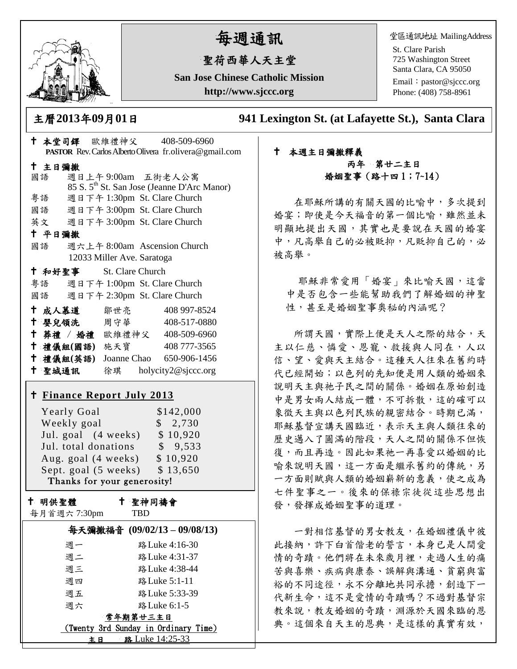

# 每週通訊

## 聖荷西華人天主堂

**San Jose Chinese Catholic Mission http://www.sjccc.org**

堂區通訊地址 MailingAddress

St. Clare Parish 725 Washington Street Santa Clara, CA 95050

Email: [pastor@sjccc.org](mailto:pastor@sjccc.org) Phone: (408) 758-8961

主曆**2013**年**09**月**01**日 **941 Lexington St. (at Lafayette St.), Santa Clara** 

### 本堂司鐸 歐維禮神父 408-509-6960 **PASTOR** Rev. Carlos Alberto Olivera fr.olivera@gmail.com 主日彌撒 國語 週日上午 9:00am 五街老人公寓 85 S. 5th St. San Jose (Jeanne D'Arc Manor) 粵語 週日下午 1:30pm St. Clare Church 國語 週日下午 3:00pm St. Clare Church 英文 週日下午 3:00pm St. Clare Church 平日彌撒 國語 週六上午 8:00am Ascension Church 12033 Miller Ave. Saratoga 和好聖事 St. Clare Church 粵語 週日下午 1:00pm St. Clare Church 國語 週日下午 2:30pm St. Clare Church 十成人慕道 鄒世亮 408 997-8524 十 嬰兒領洗 周守華 408-517-0880 葬禮 / 婚禮 歐維禮神父 408-509-6960 禮儀組**(**國語**)** 施天寶 408 777-3565 禮儀組**(**英語**)** Joanne Chao 650-906-1456 聖城通訊 徐琪 holycity2@sjccc.org **Finance [Report July](http://sjccc.org/index.php/finance.html?src=bulletin112512) 2013** Yearly Goal \$142,000 Weekly goal \$ 2,730 Jul. goal (4 weeks) \$ 10,920 Jul. total donations \$ 9,533 Aug. goal (4 weeks) \$10,920 Sept. goal  $(5 \text{ weeks})$  \$ 13,650 Thanks for your generosity! 十 明供聖體 每月首週六 7:30pm 聖神同禱會 TBD 每天彌撒福音 **(09/02/13 – 09/08/13)** 週一 路Luke 4:16-30 週二 路Luke 4:31-37 週三 路Luke 4:38-44 週四 路Luke 5:1-11 週五 路Luke 5:33-39 週六 路Luke 6:1-5 常年期第廿三主日

 (Twenty 3rd Sunday in Ordinary Time) 主日 路 Luke 14:25-33

#### 本週主日彌撒釋義 丙年 第廿二主日 婚姻聖事(路十四 1;7~14)

在耶穌所講的有關天國的比喻中,多次提到 婚宴;即使是今天福音的第一個比喻,雖然並未 明顯地提出天國,其實也是要說在天國的婚宴 中,凡高舉自己的必被貶抑,凡貶抑自己的,必 被高舉。

耶穌非常愛用「婚宴」來比喻天國,這當 中是否包含一些能幫助我們了解婚姻的神聖 性,甚至是婚姻聖事奧秘的內涵呢?

所謂天國,實際上便是天人之際的結合,天 主以仁慈、憐愛、恩寵、救援與人同在,人以 信、望、愛與天主結合。這種天人往來在舊約時 代已經開始;以色列的先知便是用人類的婚姻來 說明天主與祂子民之間的關係。婚姻在原始創造 中是男女兩人結成一體,不可拆散,這的確可以 象徵天主與以色列民族的親密結合。時期已滿, 耶穌基督宣講天國臨近,表示天主與人類往來的 歷史邁入了圓滿的階段,天人之間的關係不但恢 復,而且再造。因此如果祂一再喜愛以婚姻的比 喻來說明天國,這一方面是繼承舊約的傳統,另 一方面則賦與人類的婚姻嶄新的意義,使之成為 七件聖事之一。後來的保祿宗徒從這些思想出 發,發揮成婚姻聖事的道理。

一對相信基督的男女教友,在婚姻禮儀中彼 此接納,許下白首偕老的誓言,本身已是人間愛 情的奇蹟。他們將在未來歲月裡,走過人生的痛 苦與喜樂、疾病與康泰、誤解與溝通、貧窮與富 裕的不同途徑,永不分離地共同承擔,創造下一 代新生命,這不是愛情的奇蹟嗎?不過對基督宗 教來說,教友婚姻的奇蹟,淵源於天國來臨的恩 典。這個來自天主的恩典,是這樣的真實有效,